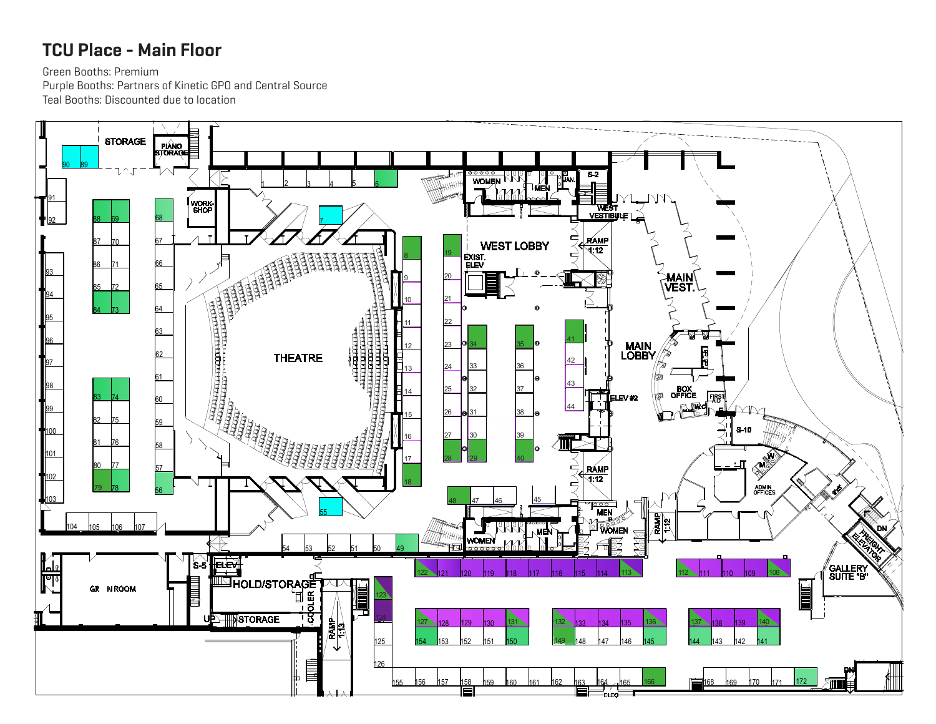## TCU Place - Main Floor

Green Booths: Premium

Purple Booths: Partners of Kinetic GPO and Central Source Teal Booths: Discounted due to location